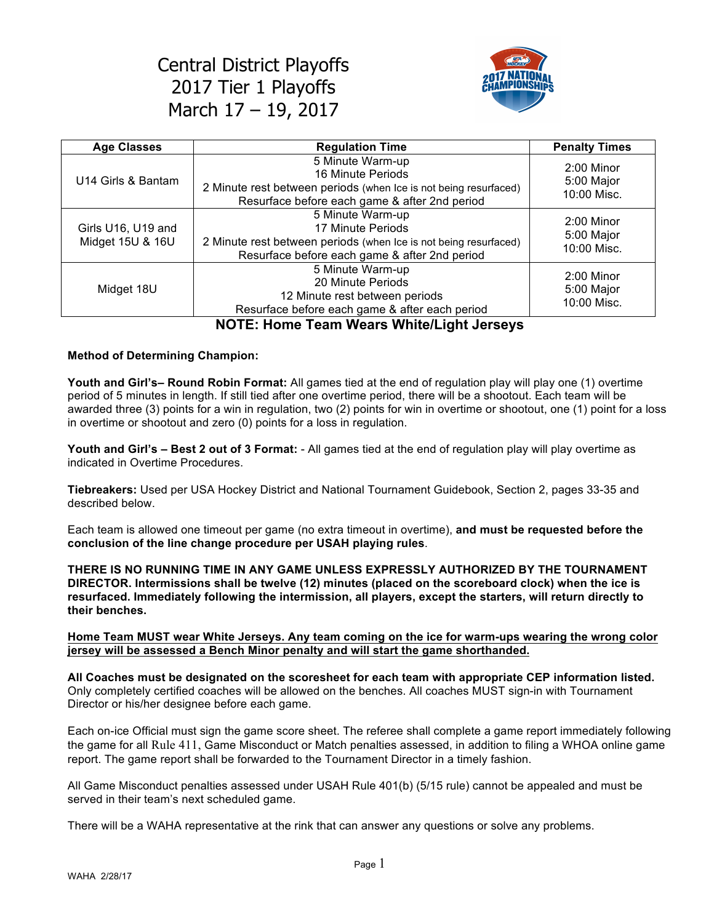

| <b>Age Classes</b>                     | <b>Regulation Time</b>                                                                                                                                     | <b>Penalty Times</b>                      |
|----------------------------------------|------------------------------------------------------------------------------------------------------------------------------------------------------------|-------------------------------------------|
| U14 Girls & Bantam                     | 5 Minute Warm-up<br>16 Minute Periods<br>2 Minute rest between periods (when Ice is not being resurfaced)<br>Resurface before each game & after 2nd period | $2:00$ Minor<br>5:00 Major<br>10:00 Misc. |
| Girls U16, U19 and<br>Midget 15U & 16U | 5 Minute Warm-up<br>17 Minute Periods<br>2 Minute rest between periods (when Ice is not being resurfaced)<br>Resurface before each game & after 2nd period | $2:00$ Minor<br>5:00 Major<br>10:00 Misc. |
| Midget 18U                             | 5 Minute Warm-up<br>20 Minute Periods<br>12 Minute rest between periods<br>Resurface before each game & after each period                                  | 2:00 Minor<br>5:00 Major<br>10:00 Misc.   |

## **NOTE: Home Team Wears White/Light Jerseys**

#### **Method of Determining Champion:**

**Youth and Girl's– Round Robin Format:** All games tied at the end of regulation play will play one (1) overtime period of 5 minutes in length. If still tied after one overtime period, there will be a shootout. Each team will be awarded three (3) points for a win in regulation, two (2) points for win in overtime or shootout, one (1) point for a loss in overtime or shootout and zero (0) points for a loss in regulation.

**Youth and Girl's – Best 2 out of 3 Format:** - All games tied at the end of regulation play will play overtime as indicated in Overtime Procedures.

**Tiebreakers:** Used per USA Hockey District and National Tournament Guidebook, Section 2, pages 33-35 and described below.

Each team is allowed one timeout per game (no extra timeout in overtime), **and must be requested before the conclusion of the line change procedure per USAH playing rules**.

**THERE IS NO RUNNING TIME IN ANY GAME UNLESS EXPRESSLY AUTHORIZED BY THE TOURNAMENT DIRECTOR. Intermissions shall be twelve (12) minutes (placed on the scoreboard clock) when the ice is resurfaced. Immediately following the intermission, all players, except the starters, will return directly to their benches.**

#### **Home Team MUST wear White Jerseys. Any team coming on the ice for warm-ups wearing the wrong color jersey will be assessed a Bench Minor penalty and will start the game shorthanded.**

**All Coaches must be designated on the scoresheet for each team with appropriate CEP information listed.** Only completely certified coaches will be allowed on the benches. All coaches MUST sign-in with Tournament Director or his/her designee before each game.

Each on-ice Official must sign the game score sheet. The referee shall complete a game report immediately following the game for all Rule 411, Game Misconduct or Match penalties assessed, in addition to filing a WHOA online game report. The game report shall be forwarded to the Tournament Director in a timely fashion.

All Game Misconduct penalties assessed under USAH Rule 401(b) (5/15 rule) cannot be appealed and must be served in their team's next scheduled game.

There will be a WAHA representative at the rink that can answer any questions or solve any problems.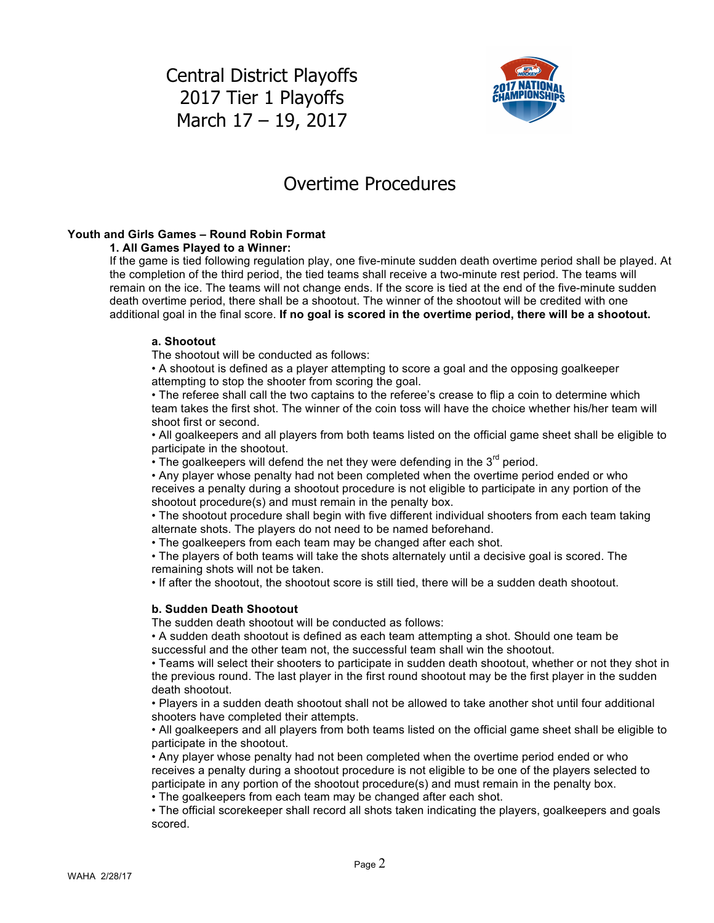

## Overtime Procedures

## **Youth and Girls Games – Round Robin Format**

#### **1. All Games Played to a Winner:**

If the game is tied following regulation play, one five-minute sudden death overtime period shall be played. At the completion of the third period, the tied teams shall receive a two-minute rest period. The teams will remain on the ice. The teams will not change ends. If the score is tied at the end of the five-minute sudden death overtime period, there shall be a shootout. The winner of the shootout will be credited with one additional goal in the final score. **If no goal is scored in the overtime period, there will be a shootout.**

#### **a. Shootout**

The shootout will be conducted as follows:

• A shootout is defined as a player attempting to score a goal and the opposing goalkeeper attempting to stop the shooter from scoring the goal.

• The referee shall call the two captains to the referee's crease to flip a coin to determine which team takes the first shot. The winner of the coin toss will have the choice whether his/her team will shoot first or second.

• All goalkeepers and all players from both teams listed on the official game sheet shall be eligible to participate in the shootout.

• The goalkeepers will defend the net they were defending in the  $3<sup>rd</sup>$  period.

• Any player whose penalty had not been completed when the overtime period ended or who receives a penalty during a shootout procedure is not eligible to participate in any portion of the shootout procedure(s) and must remain in the penalty box.

• The shootout procedure shall begin with five different individual shooters from each team taking alternate shots. The players do not need to be named beforehand.

• The goalkeepers from each team may be changed after each shot.

• The players of both teams will take the shots alternately until a decisive goal is scored. The remaining shots will not be taken.

• If after the shootout, the shootout score is still tied, there will be a sudden death shootout.

### **b. Sudden Death Shootout**

The sudden death shootout will be conducted as follows:

• A sudden death shootout is defined as each team attempting a shot. Should one team be successful and the other team not, the successful team shall win the shootout.

• Teams will select their shooters to participate in sudden death shootout, whether or not they shot in the previous round. The last player in the first round shootout may be the first player in the sudden death shootout.

• Players in a sudden death shootout shall not be allowed to take another shot until four additional shooters have completed their attempts.

• All goalkeepers and all players from both teams listed on the official game sheet shall be eligible to participate in the shootout.

• Any player whose penalty had not been completed when the overtime period ended or who receives a penalty during a shootout procedure is not eligible to be one of the players selected to participate in any portion of the shootout procedure(s) and must remain in the penalty box.

• The goalkeepers from each team may be changed after each shot.

• The official scorekeeper shall record all shots taken indicating the players, goalkeepers and goals scored.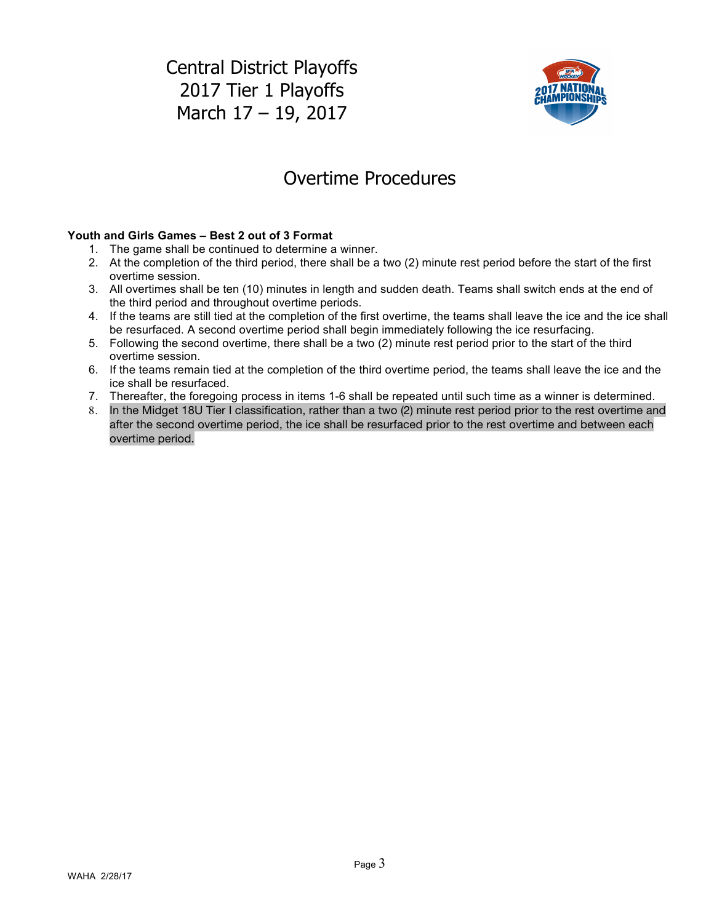

# Overtime Procedures

## **Youth and Girls Games – Best 2 out of 3 Format**

- 1. The game shall be continued to determine a winner.
- 2. At the completion of the third period, there shall be a two (2) minute rest period before the start of the first overtime session.
- 3. All overtimes shall be ten (10) minutes in length and sudden death. Teams shall switch ends at the end of the third period and throughout overtime periods.
- 4. If the teams are still tied at the completion of the first overtime, the teams shall leave the ice and the ice shall be resurfaced. A second overtime period shall begin immediately following the ice resurfacing.
- 5. Following the second overtime, there shall be a two (2) minute rest period prior to the start of the third overtime session.
- 6. If the teams remain tied at the completion of the third overtime period, the teams shall leave the ice and the ice shall be resurfaced.
- 7. Thereafter, the foregoing process in items 1-6 shall be repeated until such time as a winner is determined.
- 8. In the Midget 18U Tier I classification, rather than a two (2) minute rest period prior to the rest overtime and after the second overtime period, the ice shall be resurfaced prior to the rest overtime and between each overtime period.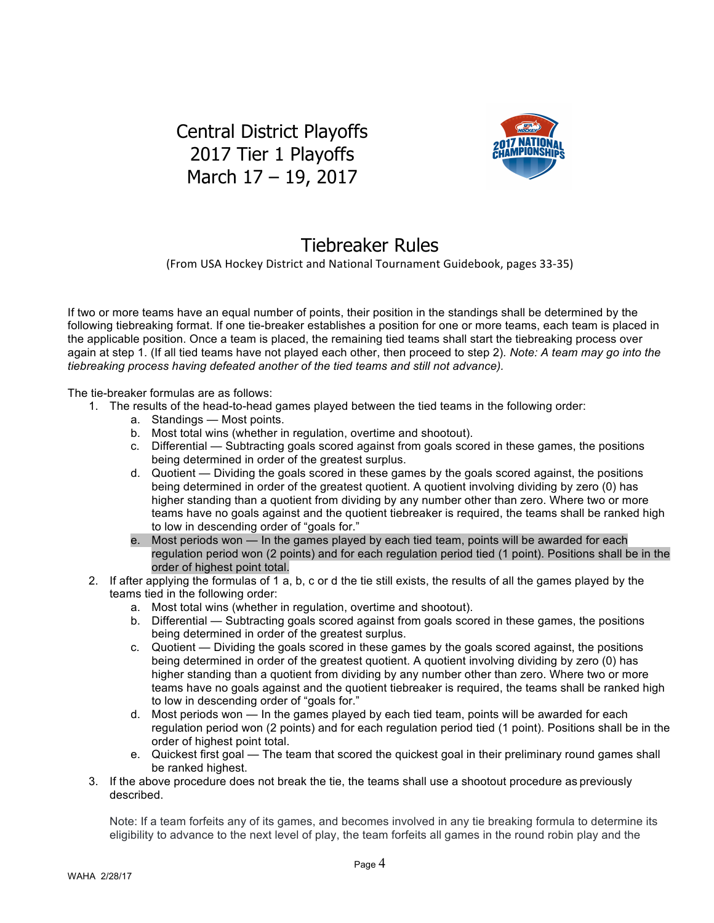

# Tiebreaker Rules

(From USA Hockey District and National Tournament Guidebook, pages 33-35)

If two or more teams have an equal number of points, their position in the standings shall be determined by the following tiebreaking format. If one tie-breaker establishes a position for one or more teams, each team is placed in the applicable position. Once a team is placed, the remaining tied teams shall start the tiebreaking process over again at step 1. (If all tied teams have not played each other, then proceed to step 2)*. Note: A team may go into the tiebreaking process having defeated another of the tied teams and still not advance).*

The tie-breaker formulas are as follows:

- 1. The results of the head-to-head games played between the tied teams in the following order:
	- a. Standings Most points.
	- b. Most total wins (whether in regulation, overtime and shootout).
	- c. Differential Subtracting goals scored against from goals scored in these games, the positions being determined in order of the greatest surplus.
	- d. Quotient Dividing the goals scored in these games by the goals scored against, the positions being determined in order of the greatest quotient. A quotient involving dividing by zero (0) has higher standing than a quotient from dividing by any number other than zero. Where two or more teams have no goals against and the quotient tiebreaker is required, the teams shall be ranked high to low in descending order of "goals for."
	- e. Most periods won In the games played by each tied team, points will be awarded for each regulation period won (2 points) and for each regulation period tied (1 point). Positions shall be in the order of highest point total.
- 2. If after applying the formulas of 1 a, b, c or d the tie still exists, the results of all the games played by the teams tied in the following order:
	- a. Most total wins (whether in regulation, overtime and shootout).
	- b. Differential Subtracting goals scored against from goals scored in these games, the positions being determined in order of the greatest surplus.
	- c. Quotient Dividing the goals scored in these games by the goals scored against, the positions being determined in order of the greatest quotient. A quotient involving dividing by zero (0) has higher standing than a quotient from dividing by any number other than zero. Where two or more teams have no goals against and the quotient tiebreaker is required, the teams shall be ranked high to low in descending order of "goals for."
	- d. Most periods won In the games played by each tied team, points will be awarded for each regulation period won (2 points) and for each regulation period tied (1 point). Positions shall be in the order of highest point total.
	- e. Quickest first goal The team that scored the quickest goal in their preliminary round games shall be ranked highest.
- 3. If the above procedure does not break the tie, the teams shall use a shootout procedure as previously described.

Note: If a team forfeits any of its games, and becomes involved in any tie breaking formula to determine its eligibility to advance to the next level of play, the team forfeits all games in the round robin play and the